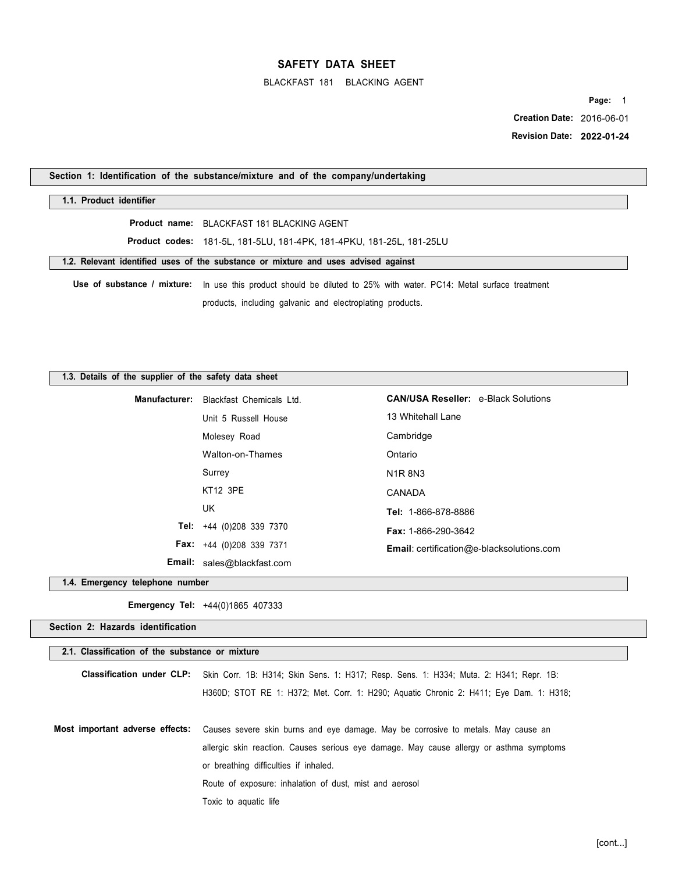BLACKFAST 181 BLACKING AGENT

**Page:** 1  **Creation Date:** 2016-06-01  **Revision Date: 2022-01-24** 

**Section 1: Identification of the substance/mixture and of the company/undertaking** 

#### **1.1. Product identifier**

**Product name:** BLACKFAST 181 BLACKING AGENT

**Product codes:** 181-5L, 181-5LU, 181-4PK, 181-4PKU, 181-25L, 181-25LU

**1.2. Relevant identified uses of the substance or mixture and uses advised against** 

**Use of substance / mixture:** In use this product should be diluted to 25% with water. PC14: Metal surface treatment products, including galvanic and electroplating products.

#### **1.3. Details of the supplier of the safety data sheet**

| Manufacturer: Blackfast Chemicals Ltd. | <b>CAN/USA Reseller: e-Black Solutions</b>       |
|----------------------------------------|--------------------------------------------------|
| Unit 5 Russell House                   | 13 Whitehall Lane                                |
| Molesey Road                           | Cambridge                                        |
| Walton-on-Thames                       | Ontario                                          |
| Surrey                                 | N <sub>1</sub> R 8N <sub>3</sub>                 |
| KT12 3PE                               | CANADA                                           |
| UK                                     | Tel: 1-866-878-8886                              |
| Tel: $+44$ (0)208 339 7370             | <b>Fax: 1-866-290-3642</b>                       |
| <b>Fax:</b> $+44$ (0)208 339 7371      | <b>Email:</b> certification@e-blacksolutions.com |
| <b>Email:</b> sales@blackfast.com      |                                                  |

**1.4. Emergency telephone number** 

**Emergency Tel:** +44(0)1865 407333

## **Section 2: Hazards identification**

#### **2.1. Classification of the substance or mixture**

| Classification under CLP: Skin Corr. 1B: H314; Skin Sens. 1: H317; Resp. Sens. 1: H334; Muta. 2: H341; Repr. 1B:  |  |
|-------------------------------------------------------------------------------------------------------------------|--|
| H360D; STOT RE 1: H372; Met. Corr. 1: H290; Aquatic Chronic 2: H411; Eye Dam. 1: H318;                            |  |
| Most important adverse effects: Causes severe skin burns and eye damage. May be corrosive to metals. May cause an |  |
| allergic skin reaction. Causes serious eye damage. May cause allergy or asthma symptoms                           |  |

or breathing difficulties if inhaled.

Route of exposure: inhalation of dust, mist and aerosol

Toxic to aquatic life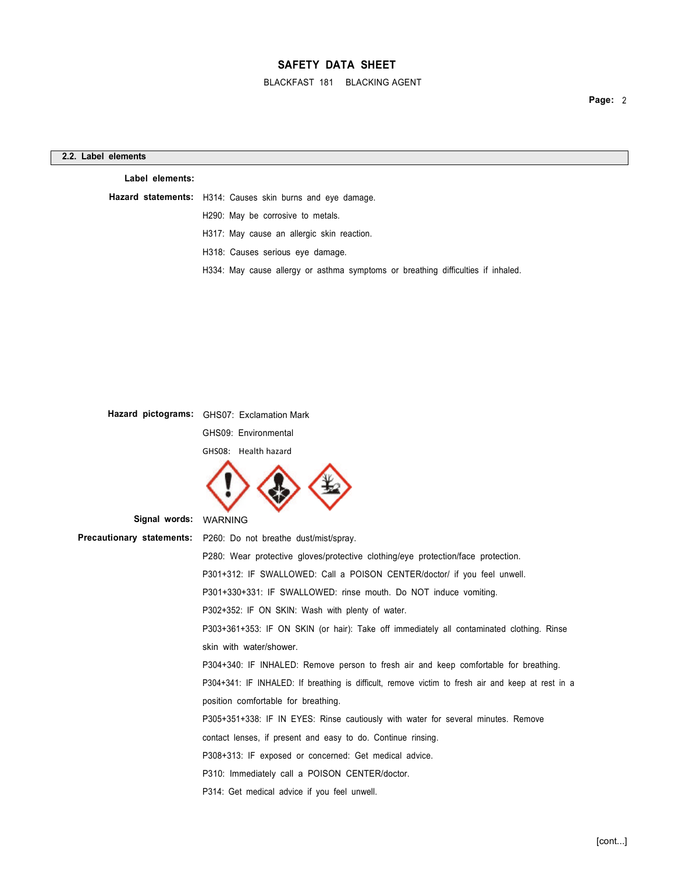BLACKFAST 181 BLACKING AGENT

| Label elements: |                                                                                  |
|-----------------|----------------------------------------------------------------------------------|
|                 | Hazard statements: H314: Causes skin burns and eye damage.                       |
|                 | H290: May be corrosive to metals.                                                |
|                 | H317: May cause an allergic skin reaction.                                       |
|                 | H318: Causes serious eye damage.                                                 |
|                 | H334: May cause allergy or asthma symptoms or breathing difficulties if inhaled. |

|                                  | Hazard pictograms: GHS07: Exclamation Mark                                                        |
|----------------------------------|---------------------------------------------------------------------------------------------------|
|                                  | GHS09: Environmental                                                                              |
|                                  | GHS08: Health hazard                                                                              |
|                                  |                                                                                                   |
| Signal words:                    | <b>WARNING</b>                                                                                    |
| <b>Precautionary statements:</b> | P260: Do not breathe dust/mist/spray.                                                             |
|                                  | P280: Wear protective gloves/protective clothing/eye protection/face protection.                  |
|                                  | P301+312: IF SWALLOWED: Call a POISON CENTER/doctor/ if you feel unwell.                          |
|                                  | P301+330+331: IF SWALLOWED: rinse mouth. Do NOT induce vomiting.                                  |
|                                  | P302+352: IF ON SKIN: Wash with plenty of water.                                                  |
|                                  | P303+361+353: IF ON SKIN (or hair): Take off immediately all contaminated clothing. Rinse         |
|                                  | skin with water/shower.                                                                           |
|                                  | P304+340: IF INHALED: Remove person to fresh air and keep comfortable for breathing.              |
|                                  | P304+341: IF INHALED: If breathing is difficult, remove victim to fresh air and keep at rest in a |
|                                  | position comfortable for breathing.                                                               |
|                                  | P305+351+338: IF IN EYES: Rinse cautiously with water for several minutes. Remove                 |
|                                  | contact lenses, if present and easy to do. Continue rinsing.                                      |
|                                  | P308+313: IF exposed or concerned: Get medical advice.                                            |
|                                  | P310: Immediately call a POISON CENTER/doctor.                                                    |
|                                  | P314: Get medical advice if you feel unwell.                                                      |
|                                  |                                                                                                   |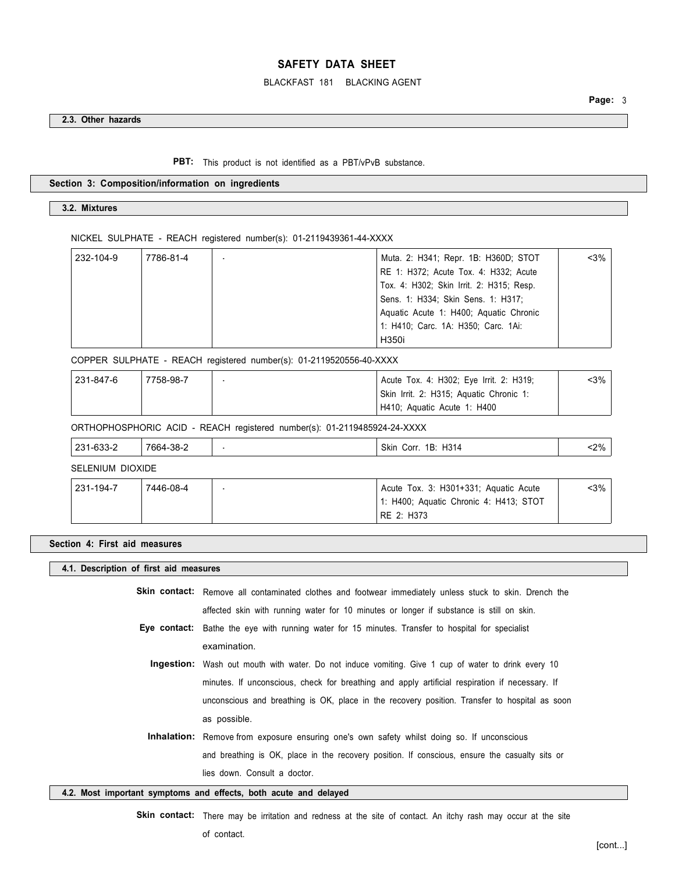### BLACKFAST 181 BLACKING AGENT

### **2.3. Other hazards**

PBT: This product is not identified as a PBT/vPvB substance.

#### **Section 3: Composition/information on ingredients**

### **3.2. Mixtures**

NICKEL SULPHATE - REACH registered number(s): 01-2119439361-44-XXXX

| 232-104-9 | 7786-81-4 | Muta. 2: H341; Repr. 1B: H360D; STOT     | $3%$ |
|-----------|-----------|------------------------------------------|------|
|           |           | RE 1: H372; Acute Tox. 4: H332; Acute    |      |
|           |           | Tox. 4: H302; Skin Irrit. 2: H315; Resp. |      |
|           |           | Sens. 1: H334; Skin Sens. 1: H317;       |      |
|           |           | Aquatic Acute 1: H400; Aquatic Chronic   |      |
|           |           | 1: H410; Carc. 1A: H350; Carc. 1Ai:      |      |
|           |           | H350i                                    |      |

COPPER SULPHATE - REACH registered number(s): 01-2119520556-40-XXXX

| 231-847-6 | 7758-98-7 | Acute Tox. 4: H302; Eye Irrit. 2: H319; | <3%∣ |
|-----------|-----------|-----------------------------------------|------|
|           |           | Skin Irrit. 2: H315; Aquatic Chronic 1: |      |
|           |           | H410; Aquatic Acute 1: H400             |      |

ORTHOPHOSPHORIC ACID - REACH registered number(s): 01-2119485924-24-XXXX

| 231<br>$\sim$<br>-כככ<br>-<br>. | າດ ເ<br>7661<br>ാഠ-∠<br>___ | H314<br>Skin<br>1B:<br>Corr. | $2\%$<br><u>- . - </u> |
|---------------------------------|-----------------------------|------------------------------|------------------------|
|                                 |                             |                              |                        |

SELENIUM DIOXIDE

| 231-194-7 | 7446-08-4 | Acute Tox. 3: H301+331; Aquatic Acute  | <3% |
|-----------|-----------|----------------------------------------|-----|
|           |           | 1: H400; Aquatic Chronic 4: H413; STOT |     |
|           |           | RE 2: H373                             |     |

#### **Section 4: First aid measures**

#### **4.1. Description of first aid measures**

**Skin contact:** Remove all contaminated clothes and footwear immediately unless stuck to skin. Drench the affected skin with running water for 10 minutes or longer if substance is still on skin.

- **Eye contact:** Bathe the eye with running water for 15 minutes. Transfer to hospital for specialist examination.
	- **Ingestion:** Wash out mouth with water. Do not induce vomiting. Give 1 cup of water to drink every 10 minutes. If unconscious, check for breathing and apply artificial respiration if necessary. If unconscious and breathing is OK, place in the recovery position. Transfer to hospital as soon as possible.
- **Inhalation:** Remove from exposure ensuring one's own safety whilst doing so. If unconscious and breathing is OK, place in the recovery position. If conscious, ensure the casualty sits or lies down. Consult a doctor.

### **4.2. Most important symptoms and effects, both acute and delayed**

**Skin contact:** There may be irritation and redness at the site of contact. An itchy rash may occur at the site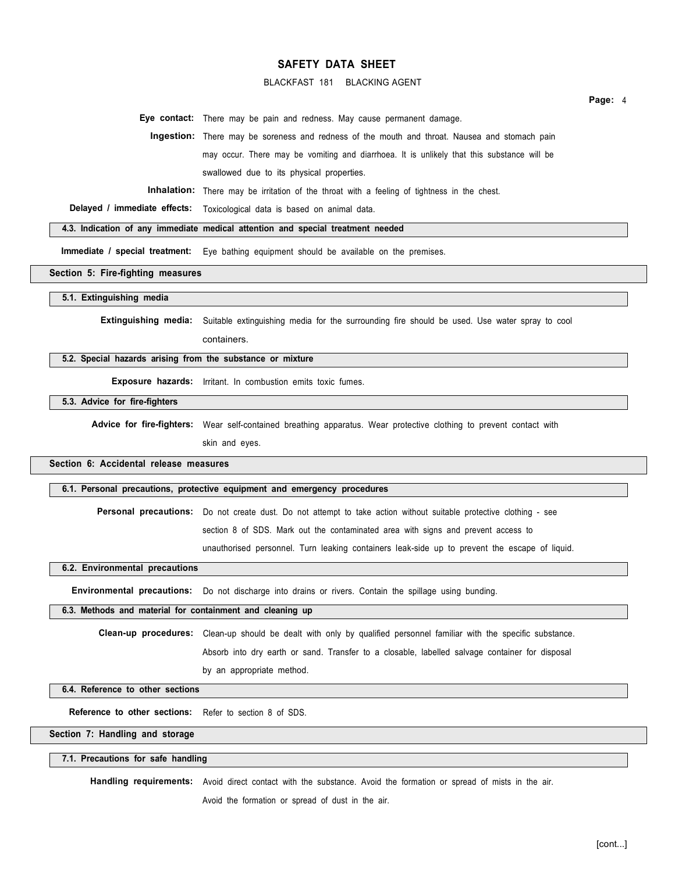### BLACKFAST 181 BLACKING AGENT

**Page:** 4

**Eye contact:** There may be pain and redness. May cause permanent damage.

**Ingestion:** There may be soreness and redness of the mouth and throat. Nausea and stomach pain may occur. There may be vomiting and diarrhoea. It is unlikely that this substance will be swallowed due to its physical properties.

**Inhalation:** There may be irritation of the throat with a feeling of tightness in the chest.

**Delayed / immediate effects:** Toxicological data is based on animal data.

#### **4.3. Indication of any immediate medical attention and special treatment needed**

**Immediate / special treatment:** Eye bathing equipment should be available on the premises.

**Section 5: Fire-fighting measures** 

**5.1. Extinguishing media** 

**Extinguishing media:** Suitable extinguishing media for the surrounding fire should be used. Use water spray to cool containers.

#### **5.2. Special hazards arising from the substance or mixture**

**Exposure hazards:** Irritant. In combustion emits toxic fumes.

#### **5.3. Advice for fire-fighters**

Advice for fire-fighters: Wear self-contained breathing apparatus. Wear protective clothing to prevent contact with

skin and eyes.

#### **Section 6: Accidental release measures**

**6.1. Personal precautions, protective equipment and emergency procedures** 

**Personal precautions:** Do not create dust. Do not attempt to take action without suitable protective clothing - see section 8 of SDS. Mark out the contaminated area with signs and prevent access to

unauthorised personnel. Turn leaking containers leak-side up to prevent the escape of liquid.

### **6.2. Environmental precautions**

**Environmental precautions:** Do not discharge into drains or rivers. Contain the spillage using bunding.

### **6.3. Methods and material for containment and cleaning up**

**Clean-up procedures:** Clean-up should be dealt with only by qualified personnel familiar with the specific substance.

Absorb into dry earth or sand. Transfer to a closable, labelled salvage container for disposal

by an appropriate method.

### **6.4. Reference to other sections**

**Reference to other sections:** Refer to section 8 of SDS.

#### **Section 7: Handling and storage**

#### **7.1. Precautions for safe handling**

**Handling requirements:** Avoid direct contact with the substance. Avoid the formation or spread of mists in the air.

Avoid the formation or spread of dust in the air.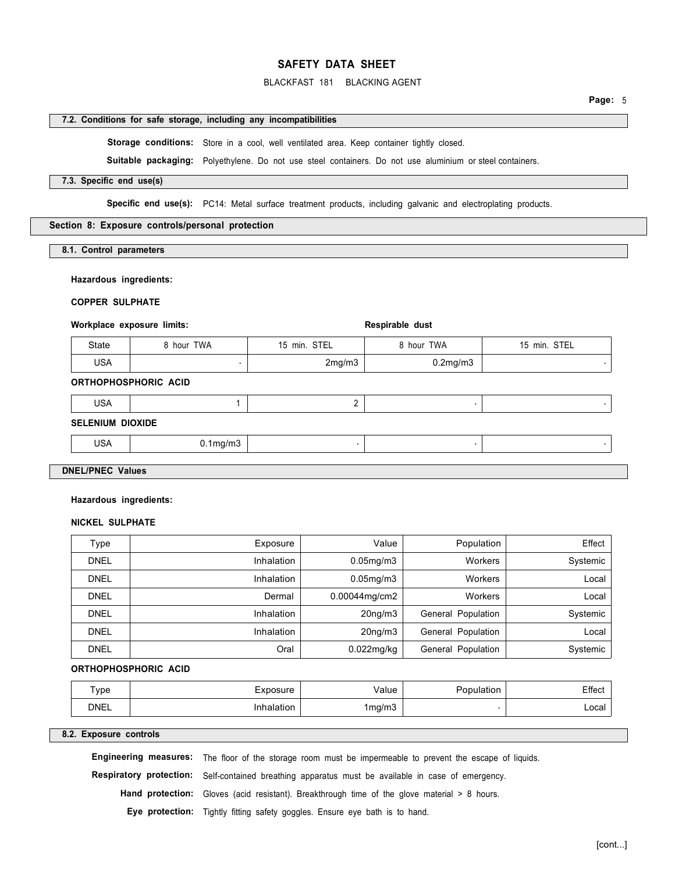### BLACKFAST 181 BLACKING AGENT

### **7.2. Conditions for safe storage, including any incompatibilities**

Storage conditions: Store in a cool, well ventilated area. Keep container tightly closed.

**Suitable packaging:** Polyethylene. Do not use steel containers. Do not use aluminium or steel containers.

### **7.3. Specific end use(s)**

**Specific end use(s):** PC14: Metal surface treatment products, including galvanic and electroplating products.

#### **Section 8: Exposure controls/personal protection**

**8.1. Control parameters** 

#### **Hazardous ingredients:**

**COPPER SULPHATE** 

#### Workplace exposure limits: **Respirable dust in the set of the set of the set of the set of the set of the set of the set of the set of the set of the set of the set of the set of the set of the set of the set of the set of**

| <b>State</b> | TWA<br>, hour | STEL<br>15<br>$\cdot$ min. | TWA<br>hour    | STEL<br>min. |
|--------------|---------------|----------------------------|----------------|--------------|
| <b>USA</b>   |               | 2mg/m3                     | $0.2$ mg/m $3$ |              |

### **ORTHOPHOSPHORIC ACID**

| <b>USA</b>              |                |  |  |
|-------------------------|----------------|--|--|
| <b>SELENIUM DIOXIDE</b> |                |  |  |
| USA                     | $0.1$ mg/m $3$ |  |  |

#### **DNEL/PNEC Values**

#### **Hazardous ingredients:**

#### **NICKEL SULPHATE**

| Type        | Exposure          | Value                | Population         | Effect   |
|-------------|-------------------|----------------------|--------------------|----------|
| <b>DNEL</b> | Inhalation        | $0.05$ mg/m $3$      | <b>Workers</b>     | Systemic |
| <b>DNEL</b> | Inhalation        | $0.05$ mg/m $3$      | <b>Workers</b>     | Local    |
| <b>DNEL</b> | Dermal            | $0.00044$ mg/cm2     | <b>Workers</b>     | Local    |
| <b>DNEL</b> | <b>Inhalation</b> | 20 <sub>ng</sub> /m3 | General Population | Systemic |
| <b>DNEL</b> | Inhalation        | 20 <sub>ng</sub> /m3 | General Population | Local    |
| <b>DNEL</b> | Oral              | $0.022$ mg/kg        | General Population | Systemic |

#### **ORTHOPHOSPHORIC ACID**

| -<br>vpe    | osure      | alue/  | งulation | ≞ffect |
|-------------|------------|--------|----------|--------|
| <b>DNEL</b> | Inhalation | 1mg/m3 |          | ∟ocal  |

#### **8.2. Exposure controls**

**Engineering measures:** The floor of the storage room must be impermeable to prevent the escape of liquids.

**Respiratory protection:** Self-contained breathing apparatus must be available in case of emergency.

Hand protection: Gloves (acid resistant). Breakthrough time of the glove material > 8 hours.

**Eye protection:** Tightly fitting safety goggles. Ensure eye bath is to hand.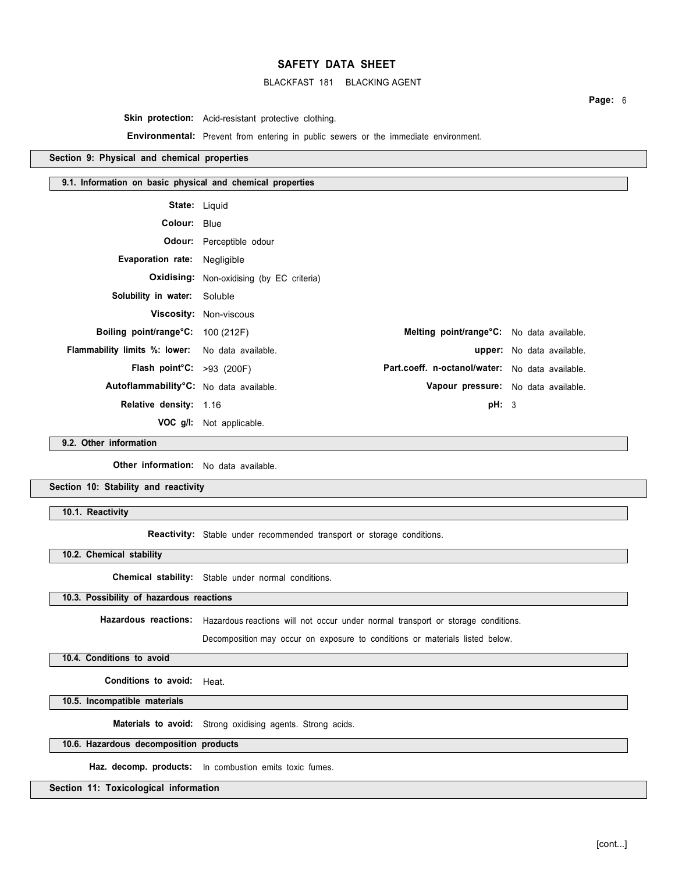### BLACKFAST 181 BLACKING AGENT

**Page:** 6

Skin protection: Acid-resistant protective clothing.

**Environmental:** Prevent from entering in public sewers or the immediate environment.

### **Section 9: Physical and chemical properties**

#### **9.1. Information on basic physical and chemical properties**

| <b>State: Liquid</b>                                    |                                                  |                                                        |                                  |
|---------------------------------------------------------|--------------------------------------------------|--------------------------------------------------------|----------------------------------|
| Colour: Blue                                            |                                                  |                                                        |                                  |
|                                                         | Odour: Perceptible odour                         |                                                        |                                  |
| Evaporation rate: Negligible                            |                                                  |                                                        |                                  |
|                                                         | <b>Oxidising:</b> Non-oxidising (by EC criteria) |                                                        |                                  |
| <b>Solubility in water:</b> Soluble                     |                                                  |                                                        |                                  |
|                                                         | Viscosity: Non-viscous                           |                                                        |                                  |
| Boiling point/range°C: 100 (212F)                       |                                                  | Melting point/range <sup>o</sup> C: No data available. |                                  |
| <b>Flammability limits %: lower:</b> No data available. |                                                  |                                                        | <b>upper:</b> No data available. |
| Flash point $C: >93$ (200F)                             |                                                  | Part.coeff. n-octanol/water: No data available.        |                                  |
| Autoflammability°C: No data available.                  |                                                  | Vapour pressure: No data available.                    |                                  |
| Relative density: 1.16                                  |                                                  | pH: 3                                                  |                                  |
|                                                         | <b>VOC g/l:</b> Not applicable.                  |                                                        |                                  |

**9.2. Other information** 

**Other information:** No data available.

**Section 10: Stability and reactivity** 

**10.1. Reactivity** 

**Reactivity:** Stable under recommended transport or storage conditions.

**10.2. Chemical stability** 

**Chemical stability:** Stable under normal conditions.

## **10.3. Possibility of hazardous reactions**

**Hazardous reactions:** Hazardous reactions will not occur under normal transport or storage conditions.

Decomposition may occur on exposure to conditions or materials listed below.

**10.4. Conditions to avoid** 

**Conditions to avoid:** Heat.

**10.5. Incompatible materials** 

**Materials to avoid:** Strong oxidising agents. Strong acids.

### **10.6. Hazardous decomposition products**

**Haz. decomp. products:** In combustion emits toxic fumes.

**Section 11: Toxicological information**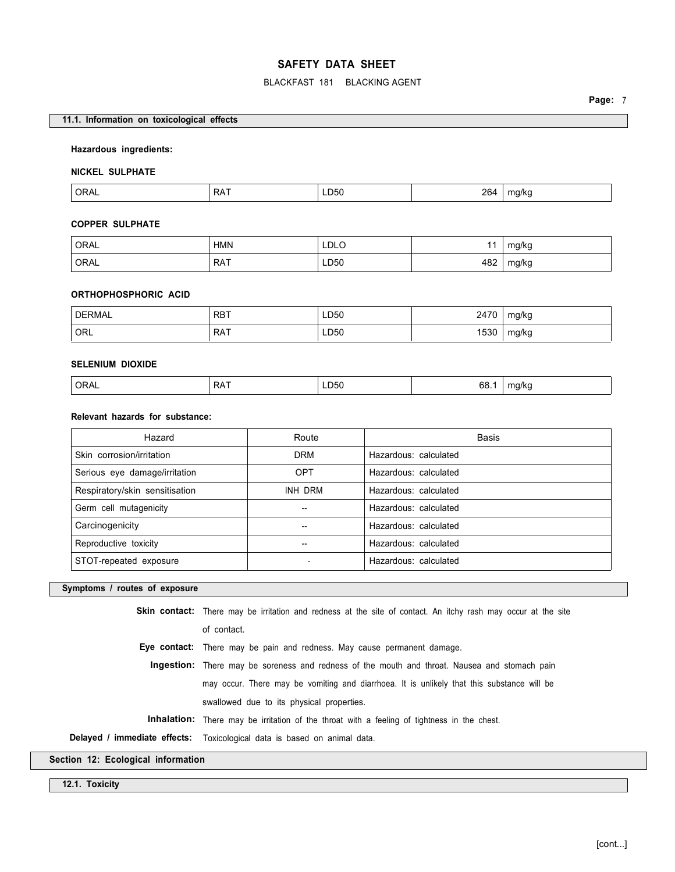### BLACKFAST 181 BLACKING AGENT

### **11.1. Information on toxicological effects**

### **Hazardous ingredients:**

#### **NICKEL SULPHATE**

| ORAL | RAT | ---<br>LD50 | 264 | ma/ka<br>$\cdot$<br>. . |
|------|-----|-------------|-----|-------------------------|

### **COPPER SULPHATE**

| ' ORAL | HMN | LDLO<br>___           |     | mg/kg      |
|--------|-----|-----------------------|-----|------------|
| ' ORAL | RAT | LD50<br>$\sim$ $\sim$ | 482 | mg/kg<br>ັ |

### **ORTHOPHOSPHORIC ACID**

| <b>DERMAL</b> | , RBT      | LD50 | 2170<br>-41 | mg/kg |
|---------------|------------|------|-------------|-------|
| ORL `         | <b>RAT</b> | LD50 | 1530        | mg/kg |

### **SELENIUM DIOXIDE**

| <b>ORA</b><br>◡੶੶੶ | −۸ د<br>$\mathbf{v}$ | <b>_D50</b><br>$ -$ | 68<br>$ -$ | ma/ko<br>. |
|--------------------|----------------------|---------------------|------------|------------|
|--------------------|----------------------|---------------------|------------|------------|

## **Relevant hazards for substance:**

| Hazard                         | Route      | Basis                 |
|--------------------------------|------------|-----------------------|
| Skin corrosion/irritation      | <b>DRM</b> | Hazardous: calculated |
| Serious eye damage/irritation  | <b>OPT</b> | Hazardous: calculated |
| Respiratory/skin sensitisation | INH DRM    | Hazardous: calculated |
| Germ cell mutagenicity         |            | Hazardous: calculated |
| Carcinogenicity                |            | Hazardous: calculated |
| Reproductive toxicity          |            | Hazardous: calculated |
| STOT-repeated exposure         |            | Hazardous: calculated |

### **Symptoms / routes of exposure**

**Skin contact:** There may be irritation and redness at the site of contact. An itchy rash may occur at the site of contact.

**Eye contact:** There may be pain and redness. May cause permanent damage.

**Ingestion:** There may be soreness and redness of the mouth and throat. Nausea and stomach pain may occur. There may be vomiting and diarrhoea. It is unlikely that this substance will be swallowed due to its physical properties.

**Inhalation:** There may be irritation of the throat with a feeling of tightness in the chest.

**Delayed / immediate effects:** Toxicological data is based on animal data.

**Section 12: Ecological information** 

**12.1. Toxicity**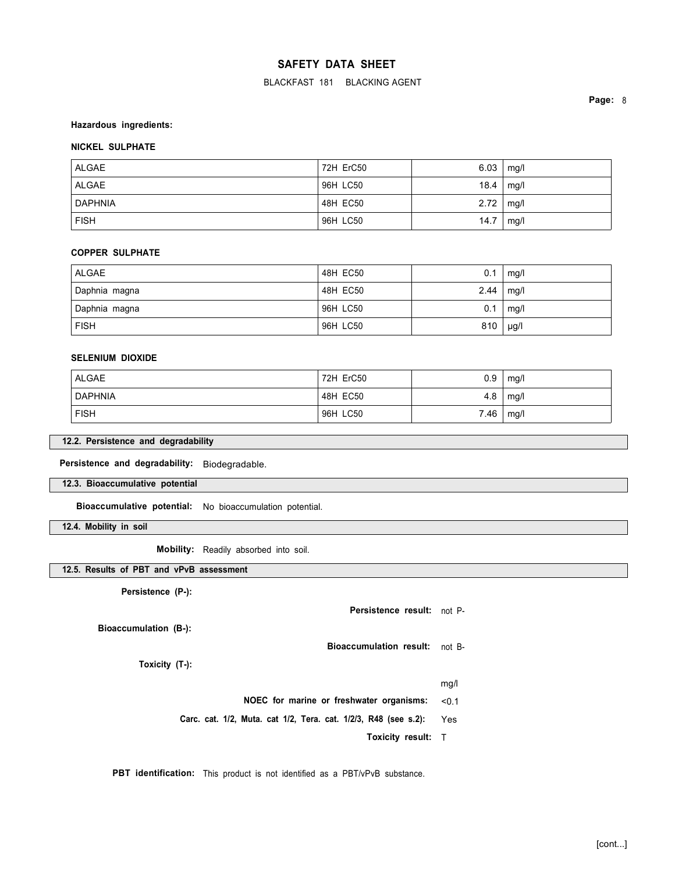BLACKFAST 181 BLACKING AGENT

**Page:** 8

#### **Hazardous ingredients:**

## **NICKEL SULPHATE**

| ALGAE       | 72H ErC50 | 6.03 | mg/l |
|-------------|-----------|------|------|
| ALGAE       | 96H LC50  | 18.4 | mg/l |
| DAPHNIA     | 48H EC50  | 2.72 | mg/l |
| <b>FISH</b> | 96H LC50  | 14.7 | mg/l |

#### **COPPER SULPHATE**

| ALGAE         | 48H EC50 | 0.1  | mg/l      |
|---------------|----------|------|-----------|
| Daphnia magna | 48H EC50 | 2.44 | mg/l      |
| Daphnia magna | 96H LC50 | 0.1  | mg/l      |
| <b>FISH</b>   | 96H LC50 | 810  | $\mu$ g/l |

### **SELENIUM DIOXIDE**

| ALGAE   | 72H ErC50 | 0.9  | mg/l |
|---------|-----------|------|------|
| DAPHNIA | 48H EC50  | 4.8  | mg/l |
| ∣ FISH  | 96H LC50  | 7.46 | mg/l |

### **12.2. Persistence and degradability**

**Persistence and degradability:** Biodegradable.

**12.3. Bioaccumulative potential** 

**Bioaccumulative potential:** No bioaccumulation potential.

**12.4. Mobility in soil** 

**Mobility:** Readily absorbed into soil.

## **12.5. Results of PBT and vPvB assessment**

**Persistence (P-):** 

**Persistence result:** not P-**Bioaccumulation (B-):** 

**Toxicity (T-):** 

mg/l

**NOEC for marine or freshwater organisms:** <0.1

**Carc. cat. 1/2, Muta. cat 1/2, Tera. cat. 1/2/3, R48 (see s.2):** Yes

**Toxicity result:** T

**Bioaccumulation result:** not B-

**PBT identification:** This product is not identified as a PBT/vPvB substance.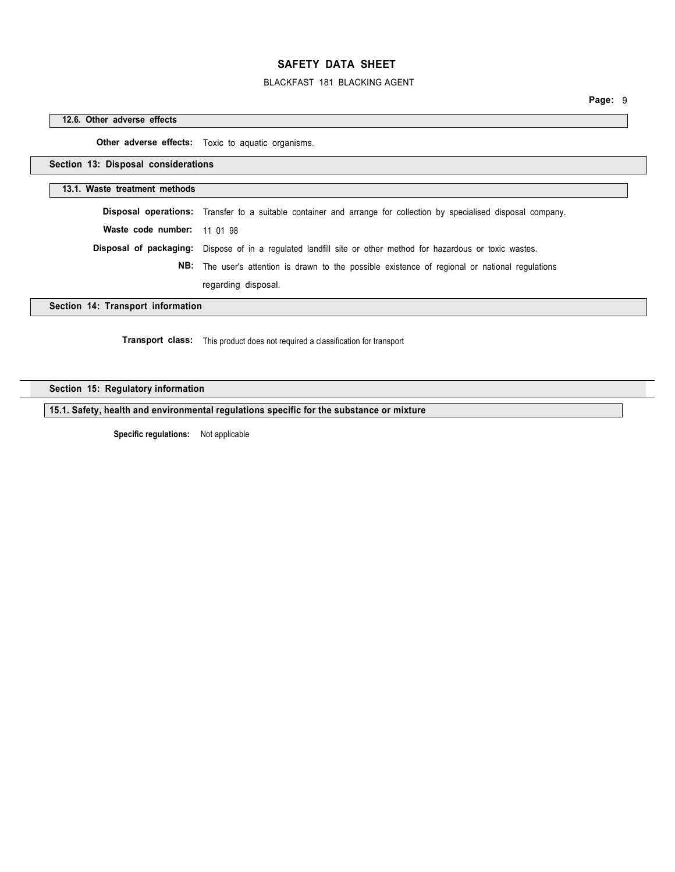## BLACKFAST 181 BLACKING AGENT

**Page:** 9

#### **12.6. Other adverse effects**

**Other adverse effects:** Toxic to aquatic organisms.

**Section 13: Disposal considerations** 

### **13.1. Waste treatment methods**

|                             | <b>Disposal operations:</b> Transfer to a suitable container and arrange for collection by specialised disposal company. |
|-----------------------------|--------------------------------------------------------------------------------------------------------------------------|
| Waste code number: 11 01 98 |                                                                                                                          |
|                             | <b>Disposal of packaging:</b> Dispose of in a regulated landfill site or other method for hazardous or toxic wastes.     |
|                             | <b>NB:</b> The user's attention is drawn to the possible existence of regional or national regulations                   |
|                             | regarding disposal.                                                                                                      |
| 4. Termony of information   |                                                                                                                          |

**Section 14: Transport information** 

**Transport class:** This product does not required a classification for transport

## **Section 15: Regulatory information**

**15.1. Safety, health and environmental regulations specific for the substance or mixture** 

**Specific regulations:** Not applicable